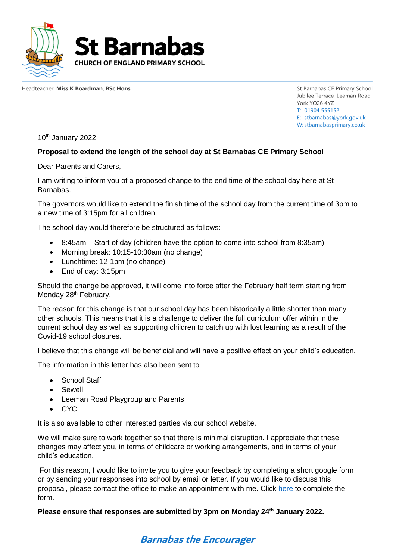

Headteacher: Miss K Boardman, BSc Hons

St Barnabas CE Primary School Jubilee Terrace, Leeman Road York YO26 4YZ T: 01904 555152 E: stbarnabas@vork.gov.uk W: stbarnabasprimary.co.uk

10<sup>th</sup> January 2022

## **Proposal to extend the length of the school day at St Barnabas CE Primary School**

Dear Parents and Carers,

I am writing to inform you of a proposed change to the end time of the school day here at St Barnabas.

The governors would like to extend the finish time of the school day from the current time of 3pm to a new time of 3:15pm for all children.

The school day would therefore be structured as follows:

- 8:45am Start of day (children have the option to come into school from 8:35am)
- Morning break: 10:15-10:30am (no change)
- Lunchtime: 12-1pm (no change)
- End of day: 3:15pm

Should the change be approved, it will come into force after the February half term starting from Monday 28<sup>th</sup> February.

The reason for this change is that our school day has been historically a little shorter than many other schools. This means that it is a challenge to deliver the full curriculum offer within in the current school day as well as supporting children to catch up with lost learning as a result of the Covid-19 school closures.

I believe that this change will be beneficial and will have a positive effect on your child's education.

The information in this letter has also been sent to

- School Staff
- Sewell
- Leeman Road Playgroup and Parents
- CYC

It is also available to other interested parties via our school website.

We will make sure to work together so that there is minimal disruption. I appreciate that these changes may affect you, in terms of childcare or working arrangements, and in terms of your child's education.

For this reason, I would like to invite you to give your feedback by completing a short google form or by sending your responses into school by email or letter. If you would like to discuss this proposal, please contact the office to make an appointment with me. Click [here](https://forms.gle/AgSWs2NZ8XgTkmna7) to complete the form.

**Please ensure that responses are submitted by 3pm on Monday 24th January 2022.**

## **Barnabas the Encourager**